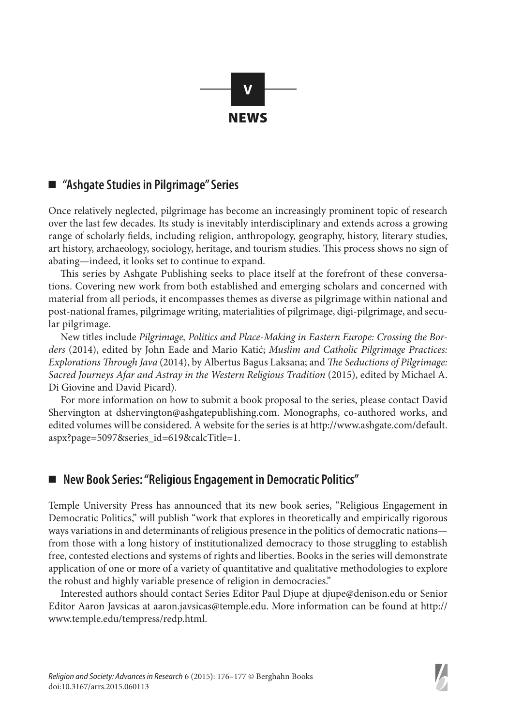

## ■ *"Ashgate Studies* in Pilgrimage" Series

Once relatively neglected, pilgrimage has become an increasingly prominent topic of research over the last few decades. Its study is inevitably interdisciplinary and extends across a growing range of scholarly fields, including religion, anthropology, geography, history, literary studies, art history, archaeology, sociology, heritage, and tourism studies. This process shows no sign of abating—indeed, it looks set to continue to expand.

This series by Ashgate Publishing seeks to place itself at the forefront of these conversations. Covering new work from both established and emerging scholars and concerned with material from all periods, it encompasses themes as diverse as pilgrimage within national and post-national frames, pilgrimage writing, materialities of pilgrimage, digi-pilgrimage, and secular pilgrimage.

New titles include *Pilgrimage, Politics and Place-Making in Eastern Europe: Crossing the Borders* (2014), edited by John Eade and Mario Katić; *Muslim and Catholic Pilgrimage Practices: Explorations Through Java* (2014), by Albertus Bagus Laksana; and *The Seductions of Pilgrimage: Sacred Journeys Afar and Astray in the Western Religious Tradition* (2015), edited by Michael A. Di Giovine and David Picard).

For more information on how to submit a book proposal to the series, please contact David Shervington at dshervington@ashgatepublishing.com. Monographs, co-authored works, and edited volumes will be considered. A website for the series is at http://www.ashgate.com/default. aspx?page=5097&series\_id=619&calcTitle=1.

## ■ New Book Series: "Religious Engagement in Democratic Politics"

Temple University Press has announced that its new book series, "Religious Engagement in Democratic Politics," will publish "work that explores in theoretically and empirically rigorous ways variations in and determinants of religious presence in the politics of democratic nations from those with a long history of institutionalized democracy to those struggling to establish free, contested elections and systems of rights and liberties. Books in the series will demonstrate application of one or more of a variety of quantitative and qualitative methodologies to explore the robust and highly variable presence of religion in democracies."

Interested authors should contact Series Editor Paul Djupe at djupe@denison.edu or Senior Editor Aaron Javsicas at aaron.javsicas@temple.edu. More information can be found at http:// www.temple.edu/tempress/redp.html.